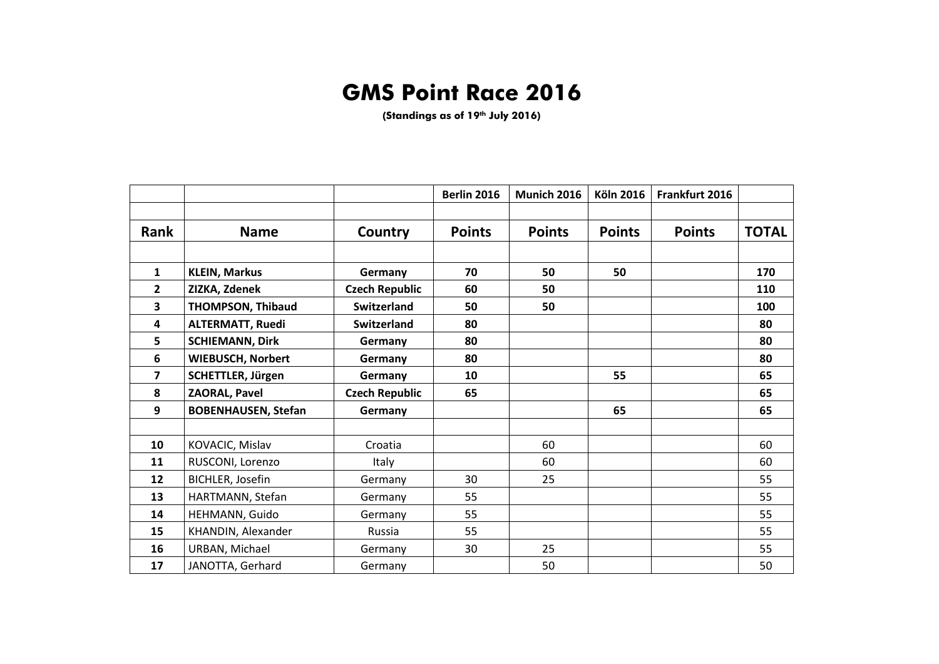## **GMS Point Race 2016**

**(Standings as of 19th July 2016)**

|                         |                            |                       | <b>Berlin 2016</b> | Munich 2016   | <b>Köln 2016</b> | Frankfurt 2016 |              |
|-------------------------|----------------------------|-----------------------|--------------------|---------------|------------------|----------------|--------------|
|                         |                            |                       |                    |               |                  |                |              |
| Rank                    | <b>Name</b>                | Country               | <b>Points</b>      | <b>Points</b> | <b>Points</b>    | <b>Points</b>  | <b>TOTAL</b> |
|                         |                            |                       |                    |               |                  |                |              |
| $\mathbf{1}$            | <b>KLEIN, Markus</b>       | Germany               | 70                 | 50            | 50               |                | 170          |
| $\overline{2}$          | ZIZKA, Zdenek              | <b>Czech Republic</b> | 60                 | 50            |                  |                | 110          |
| 3                       | <b>THOMPSON, Thibaud</b>   | Switzerland           | 50                 | 50            |                  |                | 100          |
| $\overline{\mathbf{4}}$ | <b>ALTERMATT, Ruedi</b>    | <b>Switzerland</b>    | 80                 |               |                  |                | 80           |
| 5                       | <b>SCHIEMANN, Dirk</b>     | Germany               | 80                 |               |                  |                | 80           |
| 6                       | <b>WIEBUSCH, Norbert</b>   | Germany               | 80                 |               |                  |                | 80           |
| $\overline{\mathbf{z}}$ | <b>SCHETTLER, Jürgen</b>   | Germany               | 10                 |               | 55               |                | 65           |
| 8                       | <b>ZAORAL, Pavel</b>       | <b>Czech Republic</b> | 65                 |               |                  |                | 65           |
| 9                       | <b>BOBENHAUSEN, Stefan</b> | Germany               |                    |               | 65               |                | 65           |
|                         |                            |                       |                    |               |                  |                |              |
| 10                      | KOVACIC, Mislav            | Croatia               |                    | 60            |                  |                | 60           |
| 11                      | RUSCONI, Lorenzo           | Italy                 |                    | 60            |                  |                | 60           |
| 12                      | BICHLER, Josefin           | Germany               | 30                 | 25            |                  |                | 55           |
| 13                      | HARTMANN, Stefan           | Germany               | 55                 |               |                  |                | 55           |
| 14                      | HEHMANN, Guido             | Germany               | 55                 |               |                  |                | 55           |
| 15                      | KHANDIN, Alexander         | Russia                | 55                 |               |                  |                | 55           |
| 16                      | URBAN, Michael             | Germany               | 30                 | 25            |                  |                | 55           |
| 17                      | JANOTTA, Gerhard           | Germany               |                    | 50            |                  |                | 50           |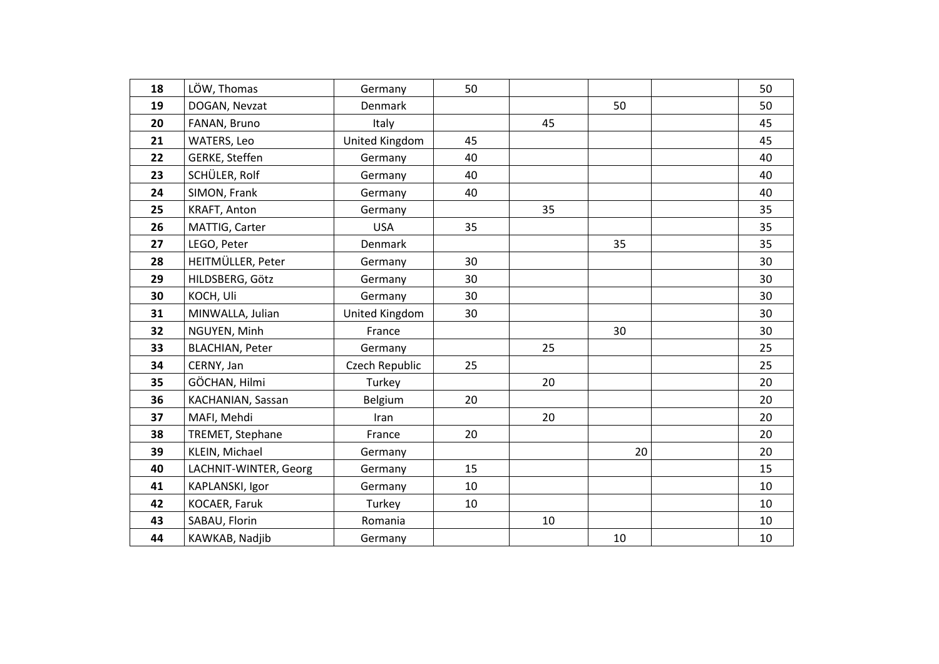| 18 | LÖW, Thomas            | Germany        | 50 |    |    | 50 |
|----|------------------------|----------------|----|----|----|----|
| 19 | DOGAN, Nevzat          | <b>Denmark</b> |    |    | 50 | 50 |
| 20 | FANAN, Bruno           | Italy          |    | 45 |    | 45 |
| 21 | WATERS, Leo            | United Kingdom | 45 |    |    | 45 |
| 22 | GERKE, Steffen         | Germany        | 40 |    |    | 40 |
| 23 | SCHÜLER, Rolf          | Germany        | 40 |    |    | 40 |
| 24 | SIMON, Frank           | Germany        | 40 |    |    | 40 |
| 25 | KRAFT, Anton           | Germany        |    | 35 |    | 35 |
| 26 | MATTIG, Carter         | <b>USA</b>     | 35 |    |    | 35 |
| 27 | LEGO, Peter            | <b>Denmark</b> |    |    | 35 | 35 |
| 28 | HEITMÜLLER, Peter      | Germany        | 30 |    |    | 30 |
| 29 | HILDSBERG, Götz        | Germany        | 30 |    |    | 30 |
| 30 | KOCH, Uli              | Germany        | 30 |    |    | 30 |
| 31 | MINWALLA, Julian       | United Kingdom | 30 |    |    | 30 |
| 32 | NGUYEN, Minh           | France         |    |    | 30 | 30 |
| 33 | <b>BLACHIAN, Peter</b> | Germany        |    | 25 |    | 25 |
| 34 | CERNY, Jan             | Czech Republic | 25 |    |    | 25 |
| 35 | GÖCHAN, Hilmi          | Turkey         |    | 20 |    | 20 |
| 36 | KACHANIAN, Sassan      | Belgium        | 20 |    |    | 20 |
| 37 | MAFI, Mehdi            | Iran           |    | 20 |    | 20 |
| 38 | TREMET, Stephane       | France         | 20 |    |    | 20 |
| 39 | KLEIN, Michael         | Germany        |    |    | 20 | 20 |
| 40 | LACHNIT-WINTER, Georg  | Germany        | 15 |    |    | 15 |
| 41 | KAPLANSKI, Igor        | Germany        | 10 |    |    | 10 |
| 42 | KOCAER, Faruk          | Turkey         | 10 |    |    | 10 |
| 43 | SABAU, Florin          | Romania        |    | 10 |    | 10 |
| 44 | KAWKAB, Nadjib         | Germany        |    |    | 10 | 10 |